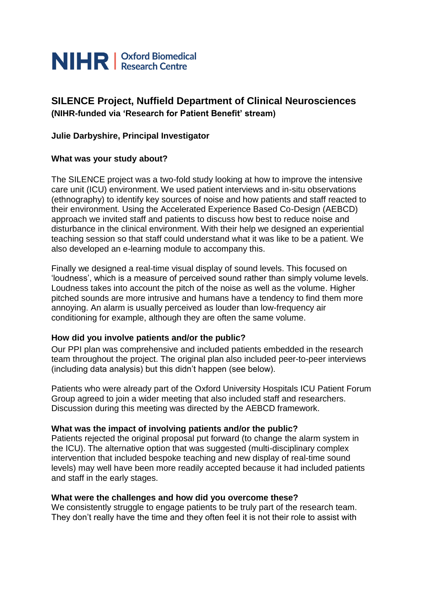

# **SILENCE Project, Nuffield Department of Clinical Neurosciences (NIHR-funded via 'Research for Patient Benefit' stream)**

## **Julie Darbyshire, Principal Investigator**

## **What was your study about?**

The SILENCE project was a two-fold study looking at how to improve the intensive care unit (ICU) environment. We used patient interviews and in-situ observations (ethnography) to identify key sources of noise and how patients and staff reacted to their environment. Using the Accelerated Experience Based Co-Design (AEBCD) approach we invited staff and patients to discuss how best to reduce noise and disturbance in the clinical environment. With their help we designed an experiential teaching session so that staff could understand what it was like to be a patient. We also developed an e-learning module to accompany this.

Finally we designed a real-time visual display of sound levels. This focused on 'loudness', which is a measure of perceived sound rather than simply volume levels. Loudness takes into account the pitch of the noise as well as the volume. Higher pitched sounds are more intrusive and humans have a tendency to find them more annoying. An alarm is usually perceived as louder than low-frequency air conditioning for example, although they are often the same volume.

## **How did you involve patients and/or the public?**

Our PPI plan was comprehensive and included patients embedded in the research team throughout the project. The original plan also included peer-to-peer interviews (including data analysis) but this didn't happen (see below).

Patients who were already part of the Oxford University Hospitals ICU Patient Forum Group agreed to join a wider meeting that also included staff and researchers. Discussion during this meeting was directed by the AEBCD framework.

## **What was the impact of involving patients and/or the public?**

Patients rejected the original proposal put forward (to change the alarm system in the ICU). The alternative option that was suggested (multi-disciplinary complex intervention that included bespoke teaching and new display of real-time sound levels) may well have been more readily accepted because it had included patients and staff in the early stages.

## **What were the challenges and how did you overcome these?**

We consistently struggle to engage patients to be truly part of the research team. They don't really have the time and they often feel it is not their role to assist with